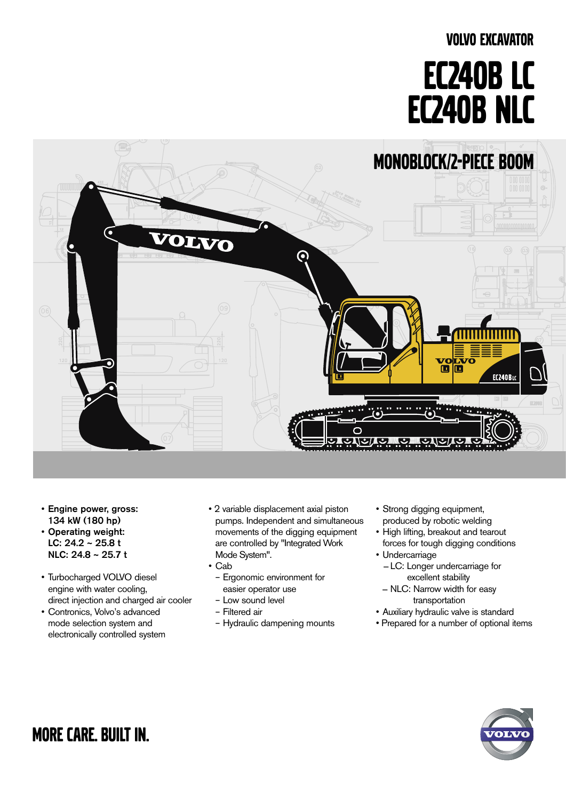# VOLVO EXCAVATOR EC240B Lc EC240B NLC



- Engine power, gross: 134 kW (180 hp)
- Operating weight: LC: 24.2 ~ 25.8 t NLC: 24.8 ~ 25.7 t
- • Turbocharged VOLVO diesel engine with water cooling, direct injection and charged air cooler
- • Contronics, Volvo's advanced mode selection system and electronically controlled system
- 2 variable displacement axial piston pumps. Independent and simultaneous movements of the digging equipment are controlled by "Integrated Work Mode System".
- • Cab
	- Ergonomic environment for easier operator use
	- Low sound level
	- Filtered air
- Hydraulic dampening mounts
- • Strong digging equipment, produced by robotic welding
- High lifting, breakout and tearout forces for tough digging conditions
- • Undercarriage
	- LC: Longer undercarriage for excellent stability
	- NLC: Narrow width for easy transportation
- • Auxiliary hydraulic valve is standard
- Prepared for a number of optional items



more care. built in.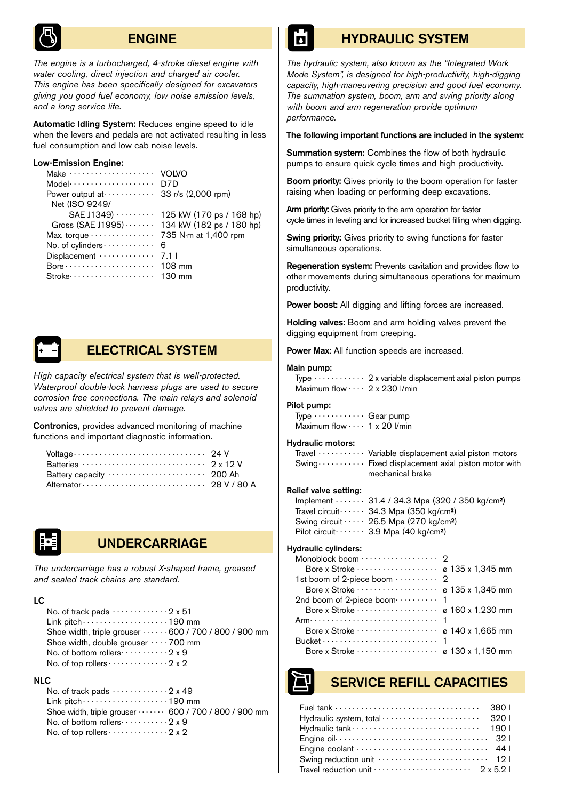

# ENGINE

*The engine is a turbocharged, 4-stroke diesel engine with water cooling, direct injection and charged air cooler. This engine has been specifically designed for excavators giving you good fuel economy, low noise emission levels, and a long service life.*

Automatic Idling System: Reduces engine speed to idle when the levers and pedals are not activated resulting in less fuel consumption and low cab noise levels.

#### Low-Emission Engine:

| Make $\cdots$                                             | VOLVO                    |
|-----------------------------------------------------------|--------------------------|
| $Model \cdots \cdots \cdots \cdots \cdots \cdots$         | D7D                      |
| Power output at $\cdots \cdots \cdots$ 33 r/s (2,000 rpm) |                          |
| Net (ISO 9249/                                            |                          |
| $SAE$ J1349) $\cdots$                                     | 125 kW (170 ps / 168 hp) |
| Gross (SAE J1995) 134 kW (182 ps / 180 hp)                |                          |
|                                                           |                          |
| No. of cylinders                                          | 6                        |
| $Displacement \cdots \cdots \cdots$                       | 7.1 I                    |
|                                                           |                          |
| $Stroke \cdots \cdots \cdots \cdots \cdots$               | 130 mm                   |



# ELECTRICAL SYSTEM

*High capacity electrical system that is well-protected. Waterproof double-lock harness plugs are used to secure corrosion free connections. The main relays and solenoid valves are shielded to prevent damage.* 

Contronics, provides advanced monitoring of machine functions and important diagnostic information.

| Voltage $\cdots$ $\cdots$ $\cdots$ $\cdots$ $\cdots$ $\cdots$ $\cdots$ $\cdots$ 24 V                         |  |
|--------------------------------------------------------------------------------------------------------------|--|
| Batteries $\cdots$ $\cdots$ $\cdots$ $\cdots$ $\cdots$ $\cdots$ $\cdots$ $\cdots$ $\cdots$ $\cdots$ $\cdots$ |  |
|                                                                                                              |  |
|                                                                                                              |  |



# UNDERCARRIAGE

*The undercarriage has a robust X-shaped frame, greased and sealed track chains are standard.*

#### LC

| No. of track pads $\cdots \cdots \cdots \cdots 2x 51$                   |
|-------------------------------------------------------------------------|
| Link pitch $\cdots$ $\cdots$ $\cdots$ $\cdots$ $\cdots$ $\cdots$ 190 mm |
| Shoe width, triple grouser 600 / 700 / 800 / 900 mm                     |
| Shoe width, double grouser $\cdots$ 700 mm                              |
| No. of bottom rollers  2 x 9                                            |
| No. of top rollers $\cdots$ $\cdots$ $\cdots$ 2 x 2                     |

#### NLC

| No. of track pads $\cdots$ $\cdots$ $\cdots$ 2 x 49          |  |
|--------------------------------------------------------------|--|
|                                                              |  |
| Shoe width, triple grouser  600 / 700 / 800 / 900 mm         |  |
| No. of bottom rollers $\cdots$ $\cdots$ 2 x 9                |  |
| No. of top rollers $\cdots$ $\cdots$ $\cdots$ $\cdots$ 2 x 2 |  |

# HYDRAULIC SYSTEM

*The hydraulic system, also known as the "Integrated Work Mode System", is designed for high-productivity, high-digging capacity, high-maneuvering precision and good fuel economy. The summation system, boom, arm and swing priority along with boom and arm regeneration provide optimum performance.*

#### The following important functions are included in the system:

Summation system: Combines the flow of both hydraulic pumps to ensure quick cycle times and high productivity.

Boom priority: Gives priority to the boom operation for faster raising when loading or performing deep excavations.

Arm priority: Gives priority to the arm operation for faster cycle times in leveling and for increased bucket filling when digging.

Swing priority: Gives priority to swing functions for faster simultaneous operations.

Regeneration system: Prevents cavitation and provides flow to other movements during simultaneous operations for maximum productivity.

Power boost: All digging and lifting forces are increased.

Holding valves: Boom and arm holding valves prevent the digging equipment from creeping.

Power Max: All function speeds are increased.

#### Main pump:

Type  $\cdots$   $\cdots$   $\cdots$  2 x variable displacement axial piston pumps Maximum flow . . . . 2 x 230 l/min

#### Pilot pump:

 $Type \cdots \cdots \cdots Gear pump$ Maximum flow  $\cdots$  1 x 20 l/min

#### Hydraulic motors:

Travel  $\cdots$   $\cdots$   $\cdots$  Variable displacement axial piston motors  $Swing \cdots \cdots$  Fixed displacement axial piston motor with mechanical brake

#### Relief valve setting:

| Implement $\cdots$ 31.4 / 34.3 Mpa (320 / 350 kg/cm <sup>2</sup> ) |
|--------------------------------------------------------------------|
| Travel circuit $\cdots$ 34.3 Mpa (350 kg/cm <sup>2</sup> )         |
| Swing circuit $\cdots$ 26.5 Mpa (270 kg/cm <sup>2</sup> )          |
| Pilot circuit $\cdots$ 3.9 Mpa (40 kg/cm <sup>2</sup> )            |

#### Hydraulic cylinders:

| 1st boom of 2-piece boom  2          |  |
|--------------------------------------|--|
|                                      |  |
| 2nd boom of 2-piece boom ········· 1 |  |
|                                      |  |
|                                      |  |
|                                      |  |
|                                      |  |
|                                      |  |
|                                      |  |

# SERVICE REFILL CAPACITIES

| Fuel tank $\cdots$ $\cdots$ $\cdots$ $\cdots$ $\cdots$ $\cdots$ $\cdots$ $\cdots$ 380 |  |
|---------------------------------------------------------------------------------------|--|
|                                                                                       |  |
|                                                                                       |  |
|                                                                                       |  |
|                                                                                       |  |
|                                                                                       |  |
| Travel reduction unit $\cdots$ $\cdots$ $\cdots$ $\cdots$ $\cdots$ $2 \times 5.2$     |  |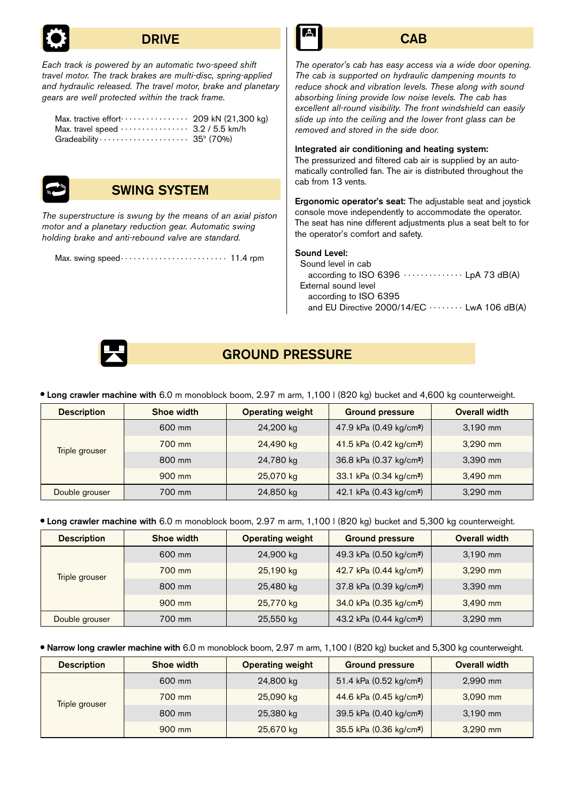

# **DRIVE**

*Each track is powered by an automatic two-speed shift travel motor. The track brakes are multi-disc, spring-applied and hydraulic released. The travel motor, brake and planetary gears are well protected within the track frame.*

| Max. tractive effort $\cdots$ $\cdots$ $\cdots$ 209 kN (21,300 kg)           |  |
|------------------------------------------------------------------------------|--|
|                                                                              |  |
| Gradeability $\cdots$ $\cdots$ $\cdots$ $\cdots$ $\cdots$ $\cdots$ 35° (70%) |  |



# SWING SYSTEM

*The superstructure is swung by the means of an axial piston motor and a planetary reduction gear. Automatic swing holding brake and anti-rebound valve are standard.*

Max. swing speed . 11.4 rpm



# **CAB**

*The operator's cab has easy access via a wide door opening. The cab is supported on hydraulic dampening mounts to reduce shock and vibration levels. These along with sound absorbing lining provide low noise levels. The cab has excellent all-round visibility. The front windshield can easily slide up into the ceiling and the lower front glass can be removed and stored in the side door.*

Integrated air conditioning and heating system:

The pressurized and filtered cab air is supplied by an automatically controlled fan. The air is distributed throughout the cab from 13 vents.

Ergonomic operator's seat: The adjustable seat and joystick console move independently to accommodate the operator. The seat has nine different adjustments plus a seat belt to for the operator's comfort and safety.

## Sound Level:

| Sound level in cab    |                                                    |
|-----------------------|----------------------------------------------------|
|                       | according to ISO 6396 $\cdots$ LpA 73 dB(A)        |
| External sound level  |                                                    |
| according to ISO 6395 |                                                    |
|                       | and EU Directive $2000/14/EC \cdots$ LwA 106 dB(A) |
|                       |                                                    |



# GROUND PRESSURE

Long crawler machine with 6.0 m monoblock boom, 2.97 m arm, 1,100 l (820 kg) bucket and 4,600 kg counterweight.

| <b>Description</b>    | Shoe width | <b>Operating weight</b> | <b>Ground pressure</b>              | Overall width |
|-----------------------|------------|-------------------------|-------------------------------------|---------------|
|                       | 600 mm     | 24,200 kg               | 47.9 kPa (0.49 kg/cm <sup>2</sup> ) | 3,190 mm      |
| <b>Triple grouser</b> | 700 mm     | 24,490 kg               | 41.5 kPa (0.42 kg/cm <sup>2</sup> ) | $3,290$ mm    |
|                       | 800 mm     | 24,780 kg               | 36.8 kPa (0.37 kg/cm <sup>2</sup> ) | 3,390 mm      |
|                       | 900 mm     | 25,070 kg               | 33.1 kPa (0.34 kg/cm <sup>2</sup> ) | 3,490 mm      |
| Double grouser        | 700 mm     | 24,850 kg               | 42.1 kPa (0.43 kg/cm <sup>2</sup> ) | 3,290 mm      |

Long crawler machine with 6.0 m monoblock boom, 2.97 m arm, 1,100 l (820 kg) bucket and 5,300 kg counterweight.

| <b>Description</b> | Shoe width | <b>Operating weight</b> | <b>Ground pressure</b>              | <b>Overall width</b> |
|--------------------|------------|-------------------------|-------------------------------------|----------------------|
|                    | 600 mm     | 24,900 kg               | 49.3 kPa (0.50 kg/cm <sup>2</sup> ) | 3,190 mm             |
| Triple grouser     | 700 mm     | 25,190 kg               | 42.7 kPa (0.44 kg/cm <sup>2</sup> ) | 3,290 mm             |
|                    | 800 mm     | 25,480 kg               | 37.8 kPa (0.39 kg/cm <sup>2</sup> ) | 3,390 mm             |
|                    | 900 mm     | 25,770 kg               | 34.0 kPa (0.35 kg/cm <sup>2</sup> ) | 3,490 mm             |
| Double grouser     | 700 mm     | 25,550 kg               | 43.2 kPa (0.44 kg/cm <sup>2</sup> ) | 3,290 mm             |

Narrow long crawler machine with 6.0 m monoblock boom, 2.97 m arm, 1,100 l (820 kg) bucket and 5,300 kg counterweight.

| <b>Description</b> | Shoe width | <b>Operating weight</b> | <b>Ground pressure</b>              | <b>Overall width</b> |
|--------------------|------------|-------------------------|-------------------------------------|----------------------|
|                    | 600 mm     | 24,800 kg               | 51.4 kPa (0.52 kg/cm <sup>2</sup> ) | 2,990 mm             |
| Triple grouser     | 700 mm     | 25,090 kg               | 44.6 kPa (0.45 kg/cm <sup>2</sup> ) | 3,090 mm             |
|                    | 800 mm     | 25,380 kg               | 39.5 kPa (0.40 kg/cm <sup>2</sup> ) | 3,190 mm             |
|                    | 900 mm     | 25,670 kg               | 35.5 kPa (0.36 kg/cm <sup>2</sup> ) | 3,290 mm             |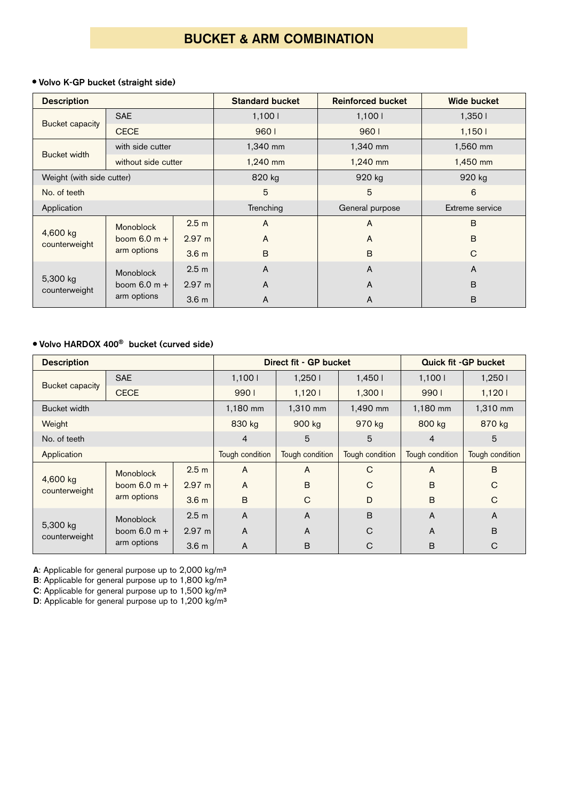# BUCKET & ARM COMBINATION

# **Volvo K-GP bucket (straight side)**

| <b>Description</b>        |                     |                  | <b>Standard bucket</b> | <b>Reinforced bucket</b> | <b>Wide bucket</b> |
|---------------------------|---------------------|------------------|------------------------|--------------------------|--------------------|
|                           | <b>SAE</b>          |                  | 1,1001                 | 1,100 l                  | 1,3501             |
| <b>Bucket capacity</b>    | <b>CECE</b>         |                  | 9601                   | 9601                     | 1,1501             |
| Bucket width              | with side cutter    |                  | 1,340 mm               | 1,340 mm                 | 1,560 mm           |
|                           | without side cutter |                  | 1,240 mm               | 1,240 mm                 | 1,450 mm           |
| Weight (with side cutter) |                     | 820 kg           | 920 kg                 | 920 kg                   |                    |
| No. of teeth              |                     |                  | 5                      | 5                        | 6                  |
| Application               |                     |                  | Trenching              | General purpose          | Extreme service    |
|                           | Monoblock           | 2.5 <sub>m</sub> | A                      | A                        | B                  |
| 4,600 kg<br>counterweight | boom $6.0 m +$      | 2.97 m           | A                      | $\mathsf{A}$             | $\overline{B}$     |
|                           | arm options         | 3.6 <sub>m</sub> | B                      | B                        | $\mathsf{C}$       |
|                           | Monoblock           | 2.5 <sub>m</sub> | A                      | A                        | A                  |
| 5,300 kg<br>counterweight | boom $6.0 m +$      | $2.97 \text{ m}$ | A                      | A                        | $\overline{B}$     |
|                           | arm options         | 3.6 <sub>m</sub> | A                      | A                        | B                  |

# **Volvo HARDOX 400**® **bucket (curved side)**

| <b>Description</b>        |                |                  | Direct fit - GP bucket |                 |                 | <b>Quick fit -GP bucket</b> |                 |
|---------------------------|----------------|------------------|------------------------|-----------------|-----------------|-----------------------------|-----------------|
| <b>SAE</b>                |                |                  | 1,1001                 | 1,2501          | 1,4501          | 1,1001                      | 1,250 l         |
| Bucket capacity           | <b>CECE</b>    |                  | 9901                   | 1,1201          | 1,3001          | 9901                        | 1,1201          |
| Bucket width              |                |                  | 1,180 mm               | 1,310 mm        | 1,490 mm        | 1,180 mm                    | 1,310 mm        |
| Weight                    |                |                  | 830 kg                 | 900 kg          | 970 kg          | 800 kg                      | 870 kg          |
| No. of teeth              |                | 4                | 5                      | 5               | $\overline{4}$  | 5                           |                 |
| Application               |                |                  | Tough condition        | Tough condition | Tough condition | Tough condition             | Tough condition |
|                           | Monoblock      | 2.5 <sub>m</sub> | A                      | A               | C               | $\overline{A}$              | B               |
| 4,600 kg<br>counterweight | boom $6.0 m +$ | $2.97 \text{ m}$ | A                      | B               | $\mathcal{C}$   | B                           | C               |
|                           | arm options    | 3.6 <sub>m</sub> | B                      | $\mathsf{C}$    | D               | B                           | $\mathcal{C}$   |
| Monoblock                 |                | 2.5 <sub>m</sub> | A                      | A               | B               | $\overline{A}$              | A               |
| 5,300 kg<br>counterweight | boom $6.0 m +$ | $2.97 \text{ m}$ | A                      | A               | C               | A                           | B               |
|                           | arm options    | 3.6 <sub>m</sub> | A                      | B               | C               | B                           | C               |

**A**: Applicable for general purpose up to 2,000 kg/m³

**B**: Applicable for general purpose up to 1,800 kg/m<sup>3</sup>

**C**: Applicable for general purpose up to 1,500 kg/m³

**D**: Applicable for general purpose up to 1,200 kg/m<sup>3</sup>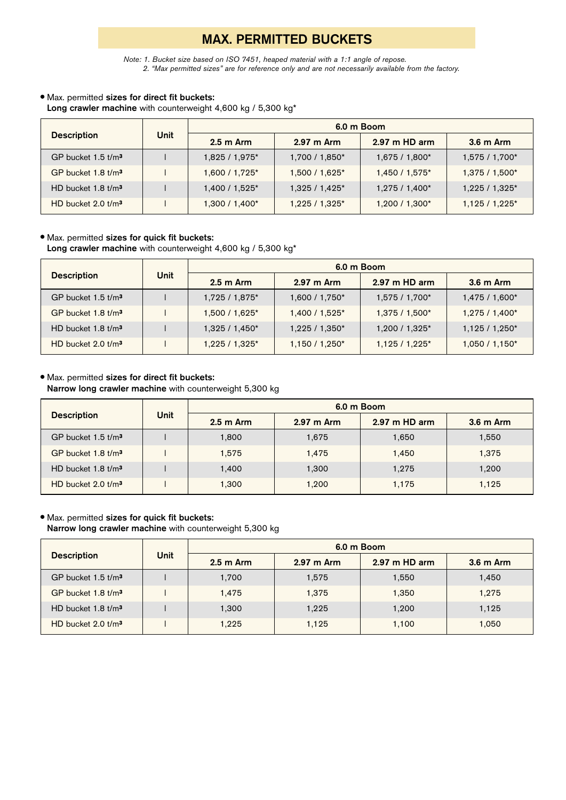# **MAX. PERMITTED BUCKETS**

*Note: 1. Bucket size based on ISO 7451, heaped material with a 1:1 angle of repose. 2. "Max permitted sizes" are for reference only and are not necessarily available from the factory.*

## Max. permitted **sizes for direct fit buckets:**

Long crawler machine with counterweight 4,600 kg / 5,300 kg<sup>\*</sup>

|                                    |             | 6.0 m Boom     |                      |                |                |  |  |  |
|------------------------------------|-------------|----------------|----------------------|----------------|----------------|--|--|--|
| <b>Description</b>                 | <b>Unit</b> | $2.5m$ Arm     | $2.97 \text{ m}$ Arm | 2.97 m HD arm  | 3.6 m Arm      |  |  |  |
| GP bucket $1.5$ t/m <sup>3</sup>   |             | 1,825 / 1,975* | 1,700 / 1,850*       | 1,675 / 1,800* | 1,575 / 1,700* |  |  |  |
| GP bucket $1.8$ t/m <sup>3</sup>   |             | 1,600 / 1,725* | 1,500 / 1,625*       | 1,450 / 1,575* | 1,375 / 1,500* |  |  |  |
| HD bucket $1.8$ t/m <sup>3</sup>   |             | 1,400 / 1,525* | $1,325/1,425*$       | $1,275/1,400*$ | 1,225 / 1,325* |  |  |  |
| $HD$ bucket $2.0$ t/m <sup>3</sup> |             | $1,300/1,400*$ | 1,225 / 1,325*       | $1,200/1,300*$ | $1,125/1,225*$ |  |  |  |

## Max. permitted **sizes for quick fit buckets:**

Long crawler machine with counterweight 4,600 kg / 5,300 kg<sup>\*</sup>

|                                    |             | 6.0 m Boom          |                |                 |                |  |  |
|------------------------------------|-------------|---------------------|----------------|-----------------|----------------|--|--|
| <b>Description</b>                 | <b>Unit</b> | $2.5 \text{ m}$ Arm | 2.97 m Arm     | 2.97 m HD arm   | 3.6 m Arm      |  |  |
| GP bucket $1.5$ t/m <sup>3</sup>   |             | 1,725 / 1,875*      | 1,600 / 1,750* | 1,575 / 1,700*  | 1,475 / 1,600* |  |  |
| $GP$ bucket $1.8$ t/m <sup>3</sup> |             | $1,500/1,625$ *     | 1,400 / 1,525* | 1,375 / 1,500*  | 1,275 / 1,400* |  |  |
| HD bucket $1.8$ t/m <sup>3</sup>   |             | $1,325/1,450*$      | 1,225 / 1,350* | 1,200 / 1,325*  | $1,125/1,250*$ |  |  |
| $HD$ bucket $2.0$ t/m <sup>3</sup> |             | $1,225/1,325*$      | $1,150/1,250*$ | $1,125/1,225$ * | $1,050/1,150*$ |  |  |

## Max. permitted **sizes for direct fit buckets:**

**Narrow long crawler machine** with counterweight 5,300 kg

|                                  |             | 6.0 m Boom |            |                 |           |  |  |
|----------------------------------|-------------|------------|------------|-----------------|-----------|--|--|
| <b>Description</b>               | <b>Unit</b> | $2.5m$ Arm | 2.97 m Arm | $2.97$ m HD arm | 3.6 m Arm |  |  |
| $GP$ bucket 1.5 $t/m3$           |             | 1,800      | 1,675      | 1,650           | 1,550     |  |  |
| GP bucket $1.8$ t/m <sup>3</sup> |             | 1.575      | 1,475      | 1.450           | 1,375     |  |  |
| HD bucket $1.8$ t/m <sup>3</sup> |             | 1.400      | 1,300      | 1,275           | 1,200     |  |  |
| $HD$ bucket 2.0 $t/m3$           |             | 1,300      | 1,200      | 1,175           | 1,125     |  |  |

## Max. permitted **sizes for quick fit buckets:**

**Narrow long crawler machine** with counterweight 5,300 kg

|                                  |             | 6.0 m Boom |            |                         |           |  |  |
|----------------------------------|-------------|------------|------------|-------------------------|-----------|--|--|
| <b>Description</b>               | <b>Unit</b> | $2.5m$ Arm | 2.97 m Arm | $2.97 \text{ m}$ HD arm | 3.6 m Arm |  |  |
| GP bucket $1.5$ t/m <sup>3</sup> |             | 1,700      | 1,575      | 1.550                   | 1,450     |  |  |
| GP bucket $1.8$ t/m <sup>3</sup> |             | 1.475      | 1,375      | 1.350                   | 1,275     |  |  |
| HD bucket $1.8$ t/m <sup>3</sup> |             | 1,300      | 1,225      | 1.200                   | 1,125     |  |  |
| HD bucket $2.0$ t/m <sup>3</sup> |             | 1.225      | 1.125      | 1.100                   | 1,050     |  |  |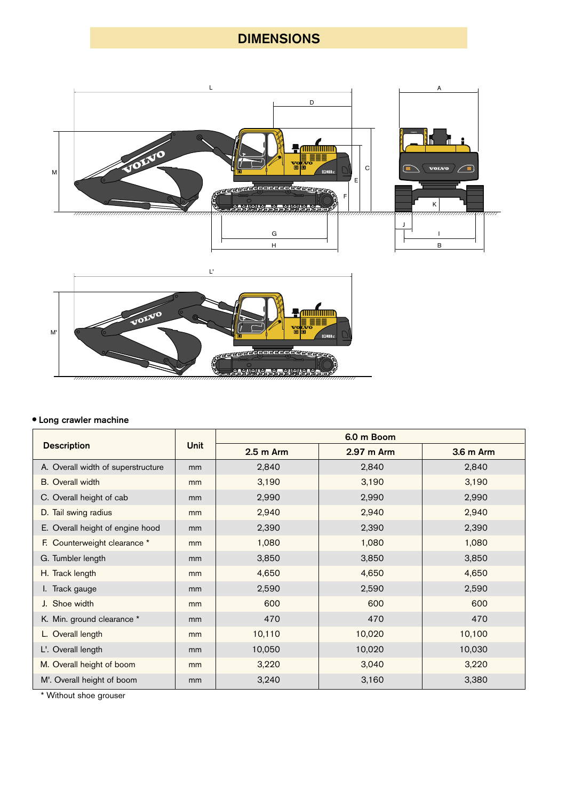# DIMENSIONS



## Long crawler machine

|                                    |                | 6.0 m Boom |            |           |  |
|------------------------------------|----------------|------------|------------|-----------|--|
| <b>Description</b>                 | <b>Unit</b>    | $2.5m$ Arm | 2.97 m Arm | 3.6 m Arm |  |
| A. Overall width of superstructure | m <sub>m</sub> | 2,840      | 2,840      | 2,840     |  |
| <b>B.</b> Overall width            | mm             | 3,190      | 3,190      | 3,190     |  |
| C. Overall height of cab           | m <sub>m</sub> | 2,990      | 2,990      | 2,990     |  |
| D. Tail swing radius               | mm             | 2,940      | 2,940      | 2,940     |  |
| E. Overall height of engine hood   | m <sub>m</sub> | 2,390      | 2,390      | 2,390     |  |
| F. Counterweight clearance *       | mm             | 1,080      | 1,080      | 1,080     |  |
| G. Tumbler length                  | <sub>mm</sub>  | 3,850      | 3,850      | 3,850     |  |
| H. Track length                    | mm             | 4,650      | 4,650      | 4,650     |  |
| I. Track gauge                     | m <sub>m</sub> | 2,590      | 2,590      | 2,590     |  |
| J. Shoe width                      | mm             | 600        | 600        | 600       |  |
| K. Min. ground clearance *         | mm             | 470        | 470        | 470       |  |
| L. Overall length                  | mm             | 10,110     | 10,020     | 10,100    |  |
| L'. Overall length                 | mm             | 10,050     | 10,020     | 10,030    |  |
| M. Overall height of boom          | mm             | 3,220      | 3,040      | 3,220     |  |
| M'. Overall height of boom         | mm             | 3,240      | 3,160      | 3,380     |  |

\* Without shoe grouser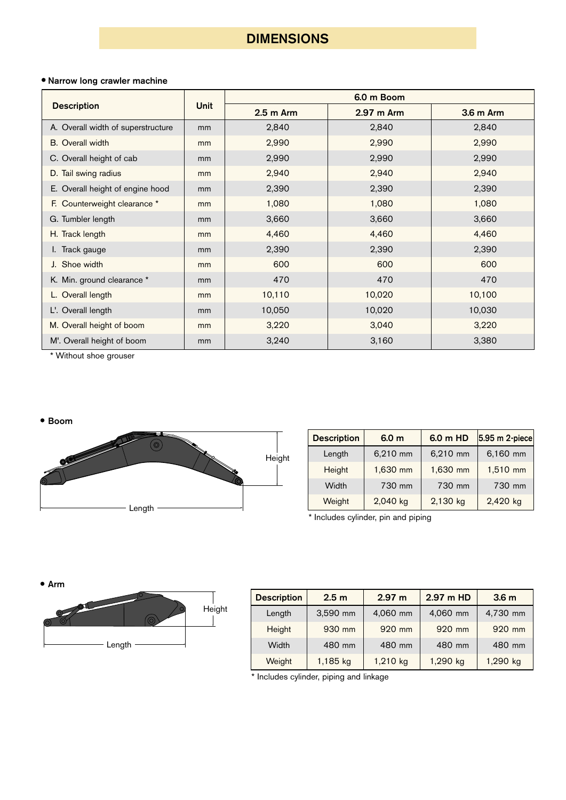# DIMENSIONS

# Narrow long crawler machine

|                                    |             | 6.0 m Boom |            |           |  |
|------------------------------------|-------------|------------|------------|-----------|--|
| <b>Description</b>                 | <b>Unit</b> | $2.5m$ Arm | 2.97 m Arm | 3.6 m Arm |  |
| A. Overall width of superstructure | mm          | 2,840      | 2,840      | 2,840     |  |
| <b>B.</b> Overall width            | mm          | 2,990      | 2,990      | 2,990     |  |
| C. Overall height of cab           | mm          | 2,990      | 2,990      | 2,990     |  |
| D. Tail swing radius               | mm          | 2,940      | 2,940      | 2,940     |  |
| E. Overall height of engine hood   | mm          | 2,390      | 2,390      | 2,390     |  |
| F. Counterweight clearance *       | mm          | 1,080      | 1,080      | 1,080     |  |
| G. Tumbler length                  | mm          | 3,660      | 3,660      | 3,660     |  |
| H. Track length                    | mm          | 4,460      | 4,460      | 4,460     |  |
| I. Track gauge                     | mm          | 2,390      | 2,390      | 2,390     |  |
| J. Shoe width                      | mm          | 600        | 600        | 600       |  |
| K. Min. ground clearance *         | mm          | 470        | 470        | 470       |  |
| L. Overall length                  | mm          | 10,110     | 10,020     | 10,100    |  |
| L'. Overall length                 | mm          | 10,050     | 10,020     | 10,030    |  |
| M. Overall height of boom          | mm          | 3,220      | 3,040      | 3,220     |  |
| M'. Overall height of boom         | mm          | 3,240      | 3,160      | 3,380     |  |

\* Without shoe grouser

#### Boom



| <b>Description</b> | 6.0 <sub>m</sub> | 6.0 m HD | 5.95 m 2-piece |
|--------------------|------------------|----------|----------------|
| Length             | 6,210 mm         | 6,210 mm | 6,160 mm       |
| Height             | 1,630 mm         | 1,630 mm | 1,510 mm       |
| Width              | 730 mm           | 730 mm   | 730 mm         |
| Weight             | 2,040 kg         | 2,130 kg | 2,420 kg       |

\* Includes cylinder, pin and piping

Arm  $\circ$ HeightLength

| <b>Description</b> | 2.5 <sub>m</sub> | 2.97 m   | 2.97 m HD | 3.6 <sub>m</sub> |
|--------------------|------------------|----------|-----------|------------------|
| Length             | 3,590 mm         | 4,060 mm | 4,060 mm  | 4,730 mm         |
| Height             | 930 mm           | 920 mm   | 920 mm    | 920 mm           |
| Width              | 480 mm           | 480 mm   | 480 mm    | 480 mm           |
| Weight             | 1,185 kg         | 1,210 kg | 1,290 kg  | 1,290 kg         |

\* Includes cylinder, piping and linkage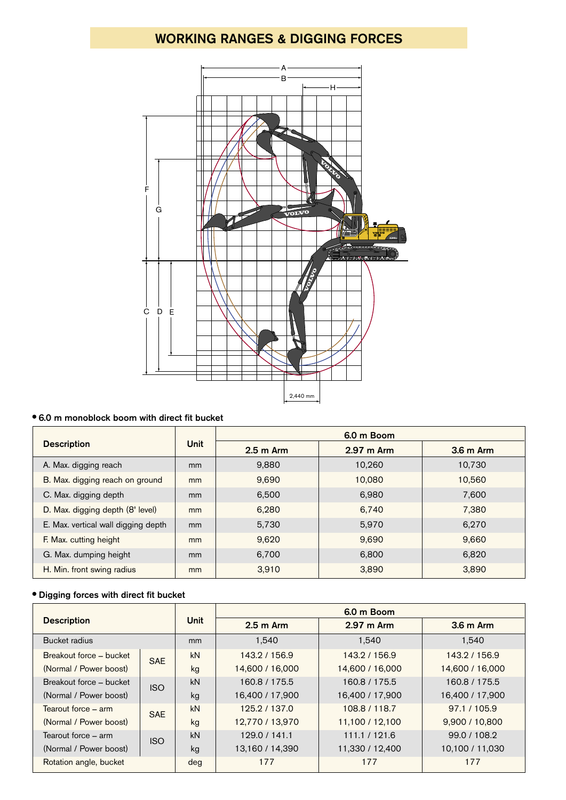# WORKING RANGES & DIGGING FORCES



# 6.0 m monoblock boom with direct fit bucket

|                                     |             | 6.0 m Boom          |                      |            |  |
|-------------------------------------|-------------|---------------------|----------------------|------------|--|
| <b>Description</b>                  | <b>Unit</b> | $2.5 \text{ m}$ Arm | $2.97 \text{ m}$ Arm | $3.6m$ Arm |  |
| A. Max. digging reach               | mm          | 9,880               | 10.260               | 10,730     |  |
| B. Max. digging reach on ground     | mm          | 9.690               | 10.080               | 10,560     |  |
| C. Max. digging depth               | mm          | 6,500               | 6,980                | 7,600      |  |
| D. Max. digging depth (8' level)    | mm          | 6.280               | 6.740                | 7,380      |  |
| E. Max. vertical wall digging depth | mm          | 5,730               | 5,970                | 6,270      |  |
| F. Max. cutting height              | mm          | 9,620               | 9,690                | 9,660      |  |
| G. Max. dumping height              | mm          | 6,700               | 6.800                | 6.820      |  |
| H. Min. front swing radius          | mm          | 3,910               | 3,890                | 3,890      |  |

# Digging forces with direct fit bucket

| <b>Description</b>      |            |             | 6.0 m Boom      |                 |                 |  |
|-------------------------|------------|-------------|-----------------|-----------------|-----------------|--|
|                         |            | <b>Unit</b> | $2.5m$ Arm      | 2.97 m Arm      | 3.6 m Arm       |  |
| Bucket radius           |            | mm          | 1,540           | 1,540           | 1,540           |  |
| Breakout force - bucket | <b>SAE</b> | kN          | 143.2 / 156.9   | 143.2 / 156.9   | 143.2 / 156.9   |  |
| (Normal / Power boost)  |            | kg          | 14,600 / 16,000 | 14,600 / 16,000 | 14,600 / 16,000 |  |
| Breakout force – bucket | <b>ISO</b> | kN          | 160.8 / 175.5   | 160.8 / 175.5   | 160.8 / 175.5   |  |
| (Normal / Power boost)  |            | kg          | 16,400 / 17,900 | 16,400 / 17,900 | 16,400 / 17,900 |  |
| Tearout force – arm     | <b>SAE</b> | kN          | 125.2 / 137.0   | 108.8 / 118.7   | 97.1 / 105.9    |  |
| (Normal / Power boost)  |            | kg          | 12,770 / 13,970 | 11,100 / 12,100 | 9,900 / 10,800  |  |
| Tearout force – arm     | <b>ISO</b> | kN          | 129.0 / 141.1   | 111.1 / 121.6   | 99.0 / 108.2    |  |
| (Normal / Power boost)  |            | kg          | 13,160 / 14,390 | 11,330 / 12,400 | 10,100 / 11,030 |  |
| Rotation angle, bucket  |            | deg         | 177             | 177             | 177             |  |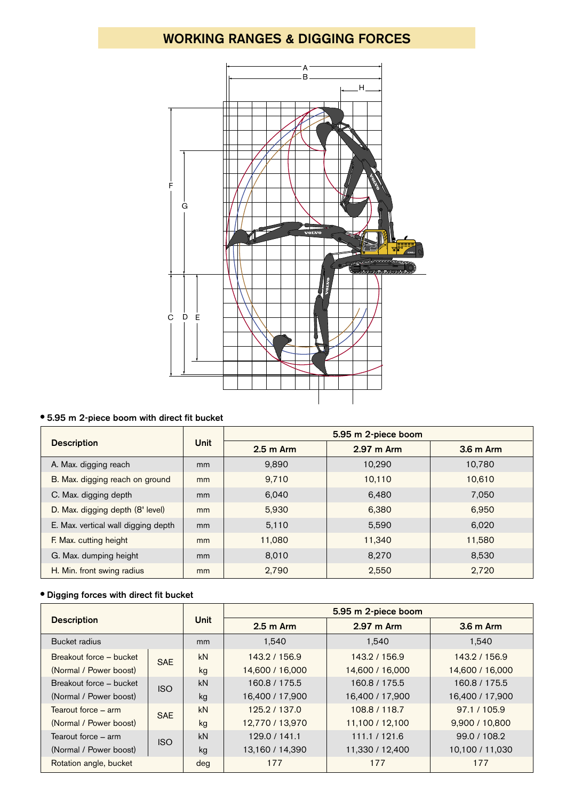# WORKING RANGES & DIGGING FORCES



## 5.95 m 2-piece boom with direct fit bucket

|                                     |               | 5.95 m 2-piece boom |            |            |  |  |  |  |  |
|-------------------------------------|---------------|---------------------|------------|------------|--|--|--|--|--|
| <b>Description</b>                  | <b>Unit</b>   | $2.5 \text{ m}$ Arm | 2.97 m Arm | $3.6m$ Arm |  |  |  |  |  |
| A. Max. digging reach               | <sub>mm</sub> | 9,890               | 10,290     | 10,780     |  |  |  |  |  |
| B. Max. digging reach on ground     | mm            | 9,710               | 10,110     | 10.610     |  |  |  |  |  |
| C. Max. digging depth               | <sub>mm</sub> | 6,040               | 6,480      | 7,050      |  |  |  |  |  |
| D. Max. digging depth (8' level)    | mm            | 5,930               | 6.380      | 6.950      |  |  |  |  |  |
| E. Max. vertical wall digging depth | <sub>mm</sub> | 5,110               | 5,590      | 6,020      |  |  |  |  |  |
| F. Max. cutting height              | mm            | 11,080              | 11.340     | 11,580     |  |  |  |  |  |
| G. Max. dumping height              | <sub>mm</sub> | 8,010               | 8.270      | 8,530      |  |  |  |  |  |
| H. Min. front swing radius          | mm            | 2,790               | 2,550      | 2,720      |  |  |  |  |  |

# Digging forces with direct fit bucket

| <b>Description</b>      |            |               | 5.95 m 2-piece boom            |                 |                 |  |  |  |  |  |
|-------------------------|------------|---------------|--------------------------------|-----------------|-----------------|--|--|--|--|--|
|                         |            | <b>Unit</b>   | $2.5m$ Arm                     | 2.97 m Arm      | 3.6 m Arm       |  |  |  |  |  |
| Bucket radius           |            | <sub>mm</sub> | 1,540                          | 1,540           | 1,540           |  |  |  |  |  |
| Breakout force - bucket | <b>SAE</b> | kN            | 143.2 / 156.9                  | 143.2 / 156.9   | 143.2 / 156.9   |  |  |  |  |  |
| (Normal / Power boost)  |            | kg            | 14,600 / 16,000                | 14,600 / 16,000 | 14,600 / 16,000 |  |  |  |  |  |
| Breakout force - bucket | <b>ISO</b> | kN            | 160.8 / 175.5                  | 160.8 / 175.5   | 160.8 / 175.5   |  |  |  |  |  |
| (Normal / Power boost)  |            | kg            | 16,400 / 17,900                | 16,400 / 17,900 | 16,400 / 17,900 |  |  |  |  |  |
| Tearout force – arm     | <b>SAE</b> | kN            | 125.2 / 137.0                  | 108.8 / 118.7   | 97.1 / 105.9    |  |  |  |  |  |
| (Normal / Power boost)  |            | kg            | 12,770 / 13,970                | 11,100 / 12,100 | 9,900 / 10,800  |  |  |  |  |  |
| Tearout force – arm     | <b>ISO</b> | kN            | 111.1 / 121.6<br>129.0 / 141.1 |                 | 99.0 / 108.2    |  |  |  |  |  |
| (Normal / Power boost)  |            | kg            | 13,160 / 14,390                | 11,330 / 12,400 | 10,100 / 11,030 |  |  |  |  |  |
| Rotation angle, bucket  |            | deg           | 177                            | 177             | 177             |  |  |  |  |  |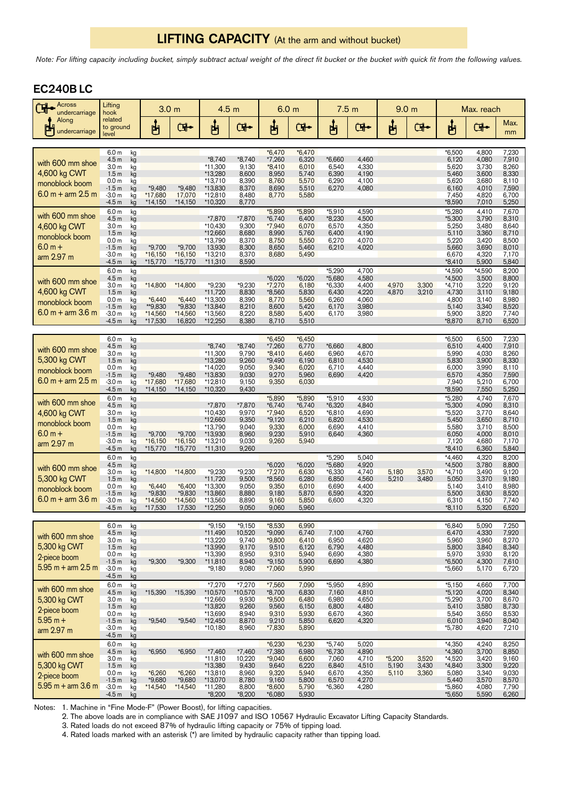# LIFTING CAPACITY (At the arm and without bucket)

*Note: For lifting capacity including bucket, simply subtract actual weight of the direct fit bucket or the bucket with quick fit from the following values.*

# EC240B LC

| Across<br>ᄓ<br>undercarriage                                                  | Lifting<br>hook                                                                                                                                                                                      | 3.0 <sub>m</sub>                                     |                                                      | 4.5 <sub>m</sub>                                                                  |                                                                    | 6.0 <sub>m</sub>                                                                    |                                                                         | 7.5 <sub>m</sub>                                                   |                                                             | 9.0 <sub>m</sub>           |                         | Max. reach                                                                     |                                                                       |                                                                      |
|-------------------------------------------------------------------------------|------------------------------------------------------------------------------------------------------------------------------------------------------------------------------------------------------|------------------------------------------------------|------------------------------------------------------|-----------------------------------------------------------------------------------|--------------------------------------------------------------------|-------------------------------------------------------------------------------------|-------------------------------------------------------------------------|--------------------------------------------------------------------|-------------------------------------------------------------|----------------------------|-------------------------|--------------------------------------------------------------------------------|-----------------------------------------------------------------------|----------------------------------------------------------------------|
| Along<br>undercarriage                                                        | related<br>to ground<br>level                                                                                                                                                                        | ௶                                                    | <b>G</b>                                             | ပျော်                                                                             | Œ.                                                                 | ழ்                                                                                  | <b>G</b>                                                                | ௶                                                                  | ়ে⊷                                                         | မျှ                        | <b>G</b>                | မျှ                                                                            | <b>G</b>                                                              | Max.<br>mm                                                           |
| with 600 mm shoe<br>4,600 kg CWT<br>monoblock boom<br>$6.0 m + arm 2.5 m$     | 6.0 <sub>m</sub><br>kg<br>$k\check{g}$<br>4.5 <sub>m</sub><br>kg<br>3.0 <sub>m</sub><br>1.5 <sub>m</sub><br>kg<br>0.0 <sub>m</sub><br>kg<br>$-1.5m$<br>kg<br>$-3.0m$<br>kg<br>$-4.5m$<br>kg          | *9,480<br>*17,680<br>*14,150                         | *9,480<br>17,070<br>$*14,150$                        | *8,740<br>$*11,300$<br>*13,280<br>*13,710<br>*13,830<br>*12,810<br>*10,320        | *8,740<br>9,130<br>8,600<br>8,390<br>8,370<br>8,480<br>8,770       | $*6,470$<br>$*7,260$<br>$*8,410$<br>8,950<br>8,760<br>8,690<br>8,770                | $*6,470$<br>6,320<br>6,010<br>5,740<br>5,570<br>5,510<br>5,580          | *6,660<br>6,540<br>6,390<br>6,290<br>6,270                         | 4,460<br>4,330<br>4,190<br>4,100<br>4,080                   |                            |                         | *6,500<br>6,120<br>5,620<br>5,460<br>5,620<br>6,160<br>7,450<br>*8,590         | 4,800<br>4,080<br>3,730<br>3,600<br>3,680<br>4,010<br>4,820<br>7,010  | 7,230<br>7,910<br>8,260<br>8,330<br>8,110<br>7,590<br>6,700<br>5,250 |
| with 600 mm shoe<br>4,600 kg CWT<br>monoblock boom<br>$6.0 m +$<br>arm 2.97 m | 6.0 <sub>m</sub><br>kg<br>4.5 <sub>m</sub><br>kg<br>3.0 <sub>m</sub><br>kg<br>1.5 <sub>m</sub><br>kg<br>0.0 <sub>m</sub><br>kg<br>$-1.5m$<br>kg<br>$-3.0m$<br>kg<br>$-4.5m$<br>kg                    | $*9,700$<br>*16,150<br>*15,770                       | $*9,700$<br>$*16,150$<br>*15,770                     | *7,870<br>$*10,430$<br>*12,660<br>*13,790<br>13,930<br>*13,210<br>$*11,310$       | *7,870<br>9,300<br>8,680<br>8,370<br>8,300<br>8,370<br>8,590       | *5,890<br>$*6,740$<br>*7,940<br>8,990<br>8,750<br>8,650<br>8,680                    | *5,890<br>6,400<br>6,070<br>5,760<br>5,550<br>5,460<br>5,490            | *5,910<br>*8,230<br>6,570<br>6,400<br>6,270<br>6,210               | 4,590<br>4,500<br>4,350<br>4,190<br>4,070<br>4,020          |                            |                         | *5,280<br>$*5,300$<br>5,250<br>5,110<br>5,220<br>5,660<br>6,670<br>$*8,410$    | 4,410<br>3,790<br>3,480<br>3,360<br>3,420<br>3,690<br>4,320<br>5,900  | 7,670<br>8,310<br>8,640<br>8,710<br>8,500<br>8,010<br>7,170<br>5,840 |
| with 600 mm shoe<br>4,600 kg CWT<br>monoblock boom<br>$6.0 m + arm 3.6 m$     | 6.0 <sub>m</sub><br>kg<br>4.5 <sub>m</sub><br>kg<br>3.0 <sub>m</sub><br>kg<br>1.5 <sub>m</sub><br>kg<br>0.0 <sub>m</sub><br>kg<br>$-1.5m$<br>kg<br>$-3.0m$<br>kg<br>$-4.5m$<br>kg                    | *14,800<br>$*6,440$<br>**9,830<br>*14,560<br>*17,530 | $*14,800$<br>$*6,440$<br>*9,830<br>*14,560<br>16,820 | *9,230<br>*11,720<br>*13,300<br>*13,840<br>*13,560<br>*12,250                     | *9,230<br>8,830<br>8,390<br>8,210<br>8,220<br>8,380                | *6,020<br>$*7,270$<br>*8,560<br>8,770<br>8,600<br>8,580<br>8,710                    | *6,020<br>6,180<br>5,830<br>5,560<br>5,420<br>5,400<br>5,510            | *5,290<br>*5,680<br>$*6,330$<br>6,430<br>6,260<br>6,170<br>6,170   | 4,700<br>4,580<br>4,400<br>4,220<br>4,060<br>3,980<br>3,980 | 4,970<br>4,870             | 3,300<br>3,210          | *4,590<br>$*4,500$<br>$*4,710$<br>4,730<br>4,800<br>5,140<br>5,900<br>*8,870   | *4.590<br>3,500<br>3,220<br>3,110<br>3,140<br>3,340<br>3,820<br>8,710 | 8,200<br>8,800<br>9,120<br>9,180<br>8,980<br>8,520<br>7,740<br>6,520 |
| with 600 mm shoe<br>5,300 kg CWT<br>monoblock boom<br>$6.0 m + arm 2.5 m$     | 6.0 <sub>m</sub><br>kg<br>4.5 <sub>m</sub><br>kg<br>3.0 <sub>m</sub><br>kg<br>1.5 <sub>m</sub><br>kg<br>0.0 <sub>m</sub><br>kg<br>$-1.5m$<br>kg<br>$-3.0m$<br>kg<br>$-4.5m$<br>kg                    | *9,480<br>*17,680<br>$*14,150$                       | *9,480<br>*17,680<br>$*14,150$                       | *8,740<br>$*11,300$<br>*13,280<br>*14,020<br>*13,830<br>*12,810<br>*10,320        | *8,740<br>9,790<br>9,260<br>9,050<br>9,030<br>9,150<br>9,430       | $*6,450$<br>$*7,260$<br>$*8,410$<br>$*9,490$<br>9,340<br>9,270<br>9,350             | $*6,450$<br>6,770<br>6,460<br>6,190<br>6,020<br>5,960<br>6,030          | *6,660<br>6,960<br>6,810<br>6,710<br>6,690                         | 4,800<br>4,670<br>4,530<br>4,440<br>4,420                   |                            |                         | *6,500<br>6,510<br>5,990<br>5,830<br>6,000<br>6,570<br>7,940<br>$*8,590$       | 6,500<br>4,400<br>4,030<br>3,900<br>3,990<br>4,350<br>5,210<br>7,550  | 7,230<br>7,910<br>8,260<br>8,330<br>8,110<br>7,590<br>6,700<br>5,250 |
| with 600 mm shoe<br>4,600 kg CWT<br>monoblock boom<br>$6.0 m +$<br>arm 2.97 m | 6.0 <sub>m</sub><br>$\mathsf{k}\mathsf{g}$<br>4.5 <sub>m</sub><br>kg<br>3.0 <sub>m</sub><br>kg<br>1.5 <sub>m</sub><br>kg<br>0.0 <sub>m</sub><br>kg<br>$-1.5m$<br>kg<br>$-3.0m$<br>kg<br>-4.5 m<br>kg | $*9,700$<br>*16,150<br>*15,770                       | $*9,700$<br>$*16,150$<br>*15,770                     | *7,870<br>$*10,430$<br>*12,660<br>*13,790<br>*13,930<br>$*13,210$<br>$*11,310$    | *7,870<br>9,970<br>9,350<br>9,040<br>8,960<br>9,030<br>9,260       | *5,890<br>$*6,740$<br>$*7,940$<br>$*9,120$<br>9,330<br>9,230<br>9,260               | *5,890<br>$*6,740$<br>6,520<br>6,210<br>6,000<br>5,910<br>5,940         | *5,910<br>*6,320<br>$*6,810$<br>6,820<br>6,690<br>6,640            | 4,930<br>4,840<br>4,690<br>4,530<br>4,410<br>4,360          |                            |                         | *5,280<br>$*5,300$<br>$*5,520$<br>5,450<br>5,580<br>6,050<br>7,120<br>$*8,410$ | 4,740<br>4,090<br>3,770<br>3,650<br>3,710<br>4,000<br>4,680<br>6,360  | 7,670<br>8,310<br>8,640<br>8,710<br>8,500<br>8,010<br>7,170<br>5,840 |
| with 600 mm shoe<br>5,300 kg CWT<br>monoblock boom<br>$6.0 m + arm 3.6 m$     | 6.0 <sub>m</sub><br>kg<br>4.5 <sub>m</sub><br>kg<br>kg<br>3.0 <sub>m</sub><br>1.5 <sub>m</sub><br>kg<br>0.0 <sub>m</sub><br>kg<br>$-1.5m$<br>kg<br>$-3.0 m$<br>kg<br>-4.5 m<br>kg                    | *14,800<br>$*6,440$<br>*9,830<br>*14,560<br>*17,530  | *14,800<br>$*6,400$<br>*9,830<br>*14,560<br>17,530   | $*9,230$<br>*11,720<br>*13,300<br>*13,860<br>*13,560<br>*12,250                   | $*9,230$<br>9,500<br>9,050<br>8,880<br>8,890<br>9,050              | *6,020<br>$*7,270$<br>*8,560<br>9,350<br>9,180<br>9,160<br>9,060                    | *6,020<br>6,630<br>6,280<br>6,010<br>5,870<br>5,850<br>5,960            | $*5,290$<br>*5,680<br>$*6,330$<br>6,850<br>6,690<br>6,590<br>6,600 | 5,040<br>4,920<br>4,740<br>4,560<br>4,400<br>4,320<br>4,320 | 5,180<br>5,210             | 3,570<br>3,480          | $*4,460$<br>*4,500<br>$*4,710$<br>5,050<br>5,140<br>5,500<br>6,310<br>*8,110   | 4,320<br>3,780<br>3,490<br>3,370<br>3,410<br>3,630<br>4,150<br>5,320  | 8,200<br>8,800<br>9,120<br>9,180<br>8,980<br>8,520<br>7,740<br>6,520 |
| with 600 mm shoe<br>5,300 kg CWT<br>2-piece boom<br>$5.95 m + arm 2.5 m$      | 6.0 <sub>m</sub><br>kg<br>4.5 <sub>m</sub><br>kg<br>kğ<br>3.0 <sub>m</sub><br>1.5 <sub>m</sub><br>kg<br>0.0 <sub>m</sub><br>kg<br>$-1.5m$<br>kg<br>$-3.0m$<br>kg<br>$-4.5m$<br>kg                    | $*9,300$                                             | $*9,300$                                             | $*9,150$<br>$*11,490$<br>$*13,220$<br>*13,990<br>*13,390<br>$*11,810$<br>$*9,180$ | $*9,150$<br>10,520<br>9,740<br>9,170<br>8,950<br>8,940<br>9,080    | $*8,530$<br>$*9,090$<br>*9,800<br>9,510<br>9,310<br>$*9,150$<br>$*7,060$            | 6,990<br>6,740<br>6,410<br>6,120<br>5,940<br>5,900<br>5,990             | 7,100<br>6,950<br>6,790<br>6,690<br>6,690                          | 4,760<br>4,620<br>4,480<br>4,380<br>4,380                   |                            |                         | *6,840<br>6,470<br>5,960<br>5,800<br>5,970<br>$*6,500$<br>*5,660               | 5,090<br>4,330<br>3,960<br>3,840<br>3,930<br>4,300<br>5,170           | 7,250<br>7,920<br>8,270<br>8,340<br>8,120<br>7,610<br>6,720          |
| with 600 mm shoe<br>5,300 kg CWT<br>2-piece boom<br>$5.95 m +$<br>arm 2.97 m  | 6.0 <sub>m</sub><br>kg<br>4.5 <sub>m</sub><br>kg<br>3.0 <sub>m</sub><br>kg<br>1.5 <sub>m</sub><br>kg<br>0.0 <sub>m</sub><br>kg<br>$-1.5m$<br>kg<br>$-3.0 m$<br>kg<br>$-4.5m$<br>kg                   | *15,390<br>$*9,540$                                  | *15,390<br>$*9,540$                                  | $*7,270$<br>*10,570<br>*12,660<br>*13,820<br>*13,690<br>*12,450<br>$*10,180$      | *7,270<br>*10,570<br>9,930<br>9,260<br>8,940<br>8,870<br>8,960     | *7,560<br>$*8,700$<br>$*9,500$<br>9,560<br>9,310<br>9,210<br>$*7,830$               | 7,090<br>6,830<br>6,480<br>6,150<br>5,930<br>5,850<br>5,890             | *5,950<br>7,160<br>6,980<br>6,800<br>6,670<br>6,620                | 4,890<br>4,810<br>4,650<br>4,480<br>4,360<br>4,320          |                            |                         | $*5,150$<br>$*5,120$<br>$*5,290$<br>5,410<br>5,540<br>6,010<br>$*5,780$        | 4,660<br>4,020<br>3,700<br>3,580<br>3,650<br>3,940<br>4,620           | 7,700<br>8,340<br>8,670<br>8,730<br>8,530<br>8,040<br>7,210          |
| with 600 mm shoe<br>5,300 kg CWT<br>2-piece boom<br>$5.95 m + arm 3.6 m$      | 6.0 <sub>m</sub><br>kg<br>4.5m<br>kg<br>3.0 <sub>m</sub><br>kg<br>1.5 <sub>m</sub><br>kg<br>0.0 <sub>m</sub><br>kg<br>$-1.5m$<br>kg<br>$-3.0m$<br>kg<br>$-4.5 m$<br>kg                               | *6,950<br>$*6,260$<br>*9,680<br>*14,540              | *6,950<br>$*6,260$<br>*9,680<br>$*14,540$            | $*7,460$<br>$*11,810$<br>*13,380<br>*13,810<br>*13,070<br>*11,280<br>$*8,200$     | $*7,460$<br>10,220<br>9,430<br>8,960<br>8,780<br>8,800<br>$*8,200$ | $*6,230$<br>$*7,380$<br>$*9,040$<br>9,640<br>9,320<br>9,160<br>$*8,600$<br>$*6,080$ | $*6,230$<br>6,980<br>6,600<br>6,220<br>5,940<br>5,800<br>5,790<br>5,930 | $*5,740$<br>$*6,730$<br>7,060<br>6,840<br>6,670<br>6,570<br>*6,360 | 5,020<br>4,890<br>4,710<br>4,510<br>4,350<br>4,270<br>4,280 | $*5,200$<br>5,190<br>5,110 | 3,520<br>3,430<br>3,360 | *4,350<br>$*4,360$<br>*4,520<br>*4,840<br>5,080<br>5,440<br>*5,860<br>*5,650   | 4,240<br>3,700<br>3,420<br>3,300<br>3,340<br>3,570<br>4,080<br>5,590  | 8,250<br>8,850<br>9,160<br>9,220<br>9,030<br>8,570<br>7,790<br>6,260 |

Notes: 1. Machine in "Fine Mode-F" (Power Boost), for lifting capacities.

2. The above loads are in compliance with SAE J1097 and ISO 10567 Hydraulic Excavator Lifting Capacity Standards.

3. Rated loads do not exceed 87% of hydraulic lifting capacity or 75% of tipping load.

4. Rated loads marked with an asterisk (\*) are limited by hydraulic capacity rather than tipping load.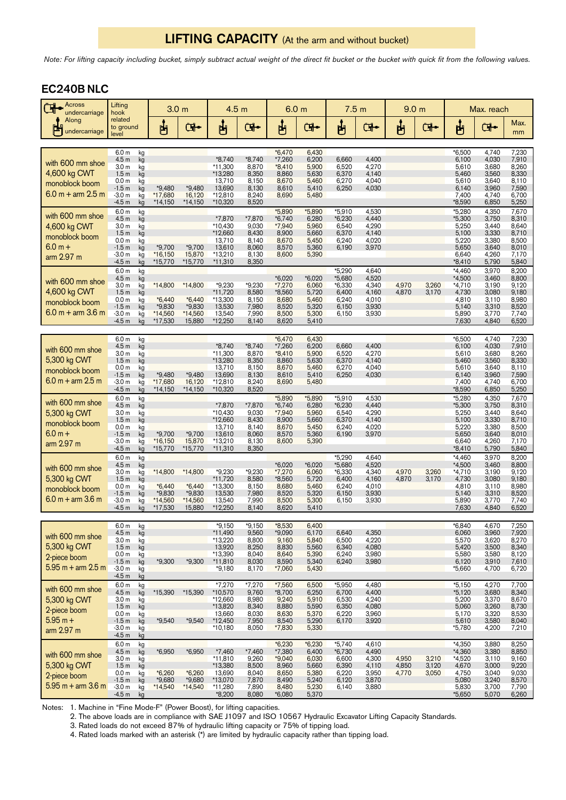# LIFTING CAPACITY (At the arm and without bucket)

*Note: For lifting capacity including bucket, simply subtract actual weight of the direct fit bucket or the bucket with quick fit from the following values.*

# EC240BNLC

| <b>Across</b><br>٦ł<br>undercarriage                                          | Lifting<br>hook                                                                                                                                                                                        | 3.0 <sub>m</sub>                                    |                                                      | 4.5 <sub>m</sub>                                                             |                                                                | 6.0 <sub>m</sub>                                                                 |                                                                         | 7.5 <sub>m</sub>                                                   |                                                             | 9.0 <sub>m</sub>        |                         | Max. reach                                                                  |                                                                      |                                                                      |
|-------------------------------------------------------------------------------|--------------------------------------------------------------------------------------------------------------------------------------------------------------------------------------------------------|-----------------------------------------------------|------------------------------------------------------|------------------------------------------------------------------------------|----------------------------------------------------------------|----------------------------------------------------------------------------------|-------------------------------------------------------------------------|--------------------------------------------------------------------|-------------------------------------------------------------|-------------------------|-------------------------|-----------------------------------------------------------------------------|----------------------------------------------------------------------|----------------------------------------------------------------------|
| Along<br>undercarriage                                                        | related<br>to ground<br>level                                                                                                                                                                          | ပျော်                                               | <b>G</b>                                             | ௶                                                                            | $\mathbf{F}$                                                   | မျှ                                                                              | <b>Gl⊷</b>                                                              | မျှ                                                                | ়ে⊷                                                         | ௶                       | $\mathbf{F}$            | ௶                                                                           | Œ.                                                                   | Max.<br>mm                                                           |
| with 600 mm shoe<br>4,600 kg CWT<br>monoblock boom<br>$6.0 m + arm 2.5 m$     | 6.0 <sub>m</sub><br>$\mathsf{k}\mathsf{g}$<br>4.5 <sub>m</sub><br>kg<br>3.0 <sub>m</sub><br>kg<br>1.5 <sub>m</sub><br>kg<br>0.0 <sub>m</sub><br>kg<br>$-1.5m$<br>kg<br>$-3.0 m$<br>kg<br>$-4.5m$<br>kg | $*9,480$<br>*17,680<br>*14,150                      | $*9,480$<br>16,120<br>*14,150                        | $*8,740$<br>*11,300<br>*13,280<br>13,710<br>13,690<br>*12,810<br>*10,320     | $*8,740$<br>8,870<br>8,350<br>8,150<br>8,130<br>8,240<br>8,520 | $*6,470$<br>$*7,260$<br>$*8,410$<br>8,860<br>8,670<br>8,610<br>8,690             | 6,430<br>6,200<br>5,900<br>5,630<br>5,460<br>5,410<br>5,480             | 6,660<br>6,520<br>6,370<br>6,270<br>6,250                          | 4,400<br>4,270<br>4,140<br>4,040<br>4,030                   |                         |                         | *6,500<br>6,100<br>5,610<br>5,460<br>5,610<br>6,140<br>7,400<br>*8,590      | 4,740<br>4,030<br>3,680<br>3,560<br>3,640<br>3,960<br>4,740<br>6,850 | 7,230<br>7,910<br>8,260<br>8,330<br>8,110<br>7,590<br>6,700<br>5,250 |
| with 600 mm shoe<br>4,600 kg CWT<br>monoblock boom<br>$6.0 m +$<br>arm 2.97 m | 6.0 <sub>m</sub><br>kg<br>4.5 <sub>m</sub><br>kg<br>3.0 <sub>m</sub><br>kg<br>1.5 <sub>m</sub><br>kg<br>0.0 <sub>m</sub><br>kg<br>$-1.5m$<br>kg<br>$-3.0m$<br>kg<br>$-4.5m$<br>kg                      | $*9,700$<br>*16,150<br>*15,770                      | $*9,700$<br>15,870<br>*15,770                        | *7,870<br>*10,430<br>*12,660<br>13,710<br>13,610<br>*13,210<br>$*11,310$     | *7,870<br>9,030<br>8,430<br>8,140<br>8,060<br>8,130<br>8,350   | *5,890<br>$*6,740$<br>*7,940<br>8,900<br>8,670<br>8,570<br>8,600                 | *5,890<br>6,280<br>5,960<br>5,660<br>5,450<br>5,360<br>5,390            | *5,910<br>$*6,230$<br>6,540<br>6,370<br>6,240<br>6,190             | 4,530<br>4,440<br>4,290<br>4,140<br>4,020<br>3,970          |                         |                         | *5,280<br>*5,300<br>5,250<br>5,100<br>5,220<br>5,650<br>6,640<br>*8,410     | 4,350<br>3,750<br>3,440<br>3,330<br>3,380<br>3,640<br>4,260<br>5,790 | 7,670<br>8,310<br>8,640<br>8,710<br>8,500<br>8,010<br>7,170<br>5,840 |
| with 600 mm shoe<br>4,600 kg CWT<br>monoblock boom<br>$6.0 m + arm 3.6 m$     | 6.0 <sub>m</sub><br>kg<br>4.5 <sub>m</sub><br>kg<br>3.0 <sub>m</sub><br>kg<br>1.5 <sub>m</sub><br>kg<br>0.0 <sub>m</sub><br>kg<br>$-1.5m$<br>kg<br>$-3.0 m$<br>kg<br>$-4.5m$<br>kg                     | *14,800<br>$*6,440$<br>*9,830<br>*14,560<br>*17,530 | $*14,800$<br>$*6,440$<br>*9,830<br>*14,560<br>15,880 | $*9,230$<br>*11,720<br>*13,300<br>13,530<br>13,540<br>*12,250                | $*9,230$<br>8,580<br>8,150<br>7,980<br>7,990<br>8,140          | $*6,020$<br>$*7,270$<br>*8,560<br>8,680<br>8,520<br>8,500<br>8,620               | $*6,020$<br>6,060<br>5,720<br>5,460<br>5,320<br>5,300<br>5,410          | $*5,290$<br>*5,680<br>$*6,330$<br>6,400<br>6,240<br>6,150<br>6,150 | 4,640<br>4,520<br>4,340<br>4,160<br>4,010<br>3,930<br>3,930 | 4,970<br>4,870          | 3,260<br>3,170          | *4,460<br>*4,500<br>$*4,710$<br>4,730<br>4,810<br>5,140<br>5,890<br>7,630   | 3,970<br>3,460<br>3,190<br>3,080<br>3,110<br>3,310<br>3,770<br>4,840 | 8,200<br>8,800<br>9,120<br>9,180<br>8,980<br>8,520<br>7,740<br>6,520 |
| with 600 mm shoe<br>5,300 kg CWT<br>monoblock boom<br>$6.0 m + arm 2.5 m$     | 6.0 <sub>m</sub><br>kg<br>4.5 <sub>m</sub><br>kg<br>3.0 <sub>m</sub><br>kg<br>1.5 <sub>m</sub><br>kg<br>0.0 <sub>m</sub><br>kg<br>$-1.5m$<br>kg<br>$-3.0 m$<br>kg<br>-4.5 m<br>kg                      | *9,480<br>*17,680<br>$*14,150$                      | $*9,480$<br>16,120<br>$*14,150$                      | $*8,740$<br>$*11,300$<br>*13,280<br>13,710<br>13,690<br>*12,810<br>*10,320   | $*8,740$<br>8,870<br>8,350<br>8,150<br>8,130<br>8,240<br>8,520 | $*6,470$<br>$*7,260$<br>$*8,410$<br>8,860<br>8,670<br>8,610<br>8,690             | 6,430<br>6,200<br>5,900<br>5,630<br>5,460<br>5,410<br>5,480             | 6,660<br>6,520<br>6,370<br>6,270<br>6,250                          | 4,400<br>4,270<br>4,140<br>4,040<br>4,030                   |                         |                         | $*6,500$<br>6,100<br>5,610<br>5,460<br>5,610<br>6,140<br>7,400<br>$*8,590$  | 4,740<br>4,030<br>3,680<br>3,560<br>3,640<br>3,960<br>4,740<br>6,850 | 7,230<br>7,910<br>8,260<br>8,330<br>8,110<br>7,590<br>6,700<br>5,250 |
| with 600 mm shoe<br>5,300 kg CWT<br>monoblock boom<br>$6.0 m +$<br>arm 2.97 m | 6.0 <sub>m</sub><br>kg<br>4.5 <sub>m</sub><br>kg<br>3.0 <sub>m</sub><br>kg<br>1.5 <sub>m</sub><br>kg<br>0.0 <sub>m</sub><br>kg<br>$-1.5m$<br>kg<br>$-3.0m$<br>kg<br>$-4.5m$<br>kg                      | *9,700<br>$*16,150$<br>*15,770                      | $*9,700$<br>15,870<br>*15,770                        | *7,870<br>$*10,430$<br>*12,660<br>13,710<br>13,610<br>$*13,210$<br>$*11,310$ | *7,870<br>9,030<br>8,430<br>8,140<br>8,060<br>8,130<br>8,350   | $*5,890$<br>$*6,740$<br>*7,940<br>8,900<br>8,670<br>8,570<br>8,600               | *5,890<br>6,280<br>5,960<br>5,660<br>5,450<br>5,360<br>5,390            | *5,910<br>$*6,230$<br>6,540<br>6,370<br>6,240<br>6,190             | 4,530<br>4,440<br>4,290<br>4,140<br>4,020<br>3,970          |                         |                         | *5,280<br>$*5,300$<br>5,250<br>5,100<br>5,220<br>5,650<br>6,640<br>$*8,410$ | 4,350<br>3,750<br>3,440<br>3,330<br>3,380<br>3,640<br>4,260<br>5,790 | 7,670<br>8,310<br>8,640<br>8,710<br>8,500<br>8,010<br>7,170<br>5,840 |
| with 600 mm shoe<br>5,300 kg CWT<br>monoblock boom<br>$6.0 m + arm 3.6 m$     | 6.0 <sub>m</sub><br>kg<br>4.5 <sub>m</sub><br>kg<br>3.0 <sub>m</sub><br>kg<br>1.5 <sub>m</sub><br>kg<br>0.0 <sub>m</sub><br>kg<br>$-1.5m$<br>kg<br>$-3.0m$<br>kg<br>$-4.5m$<br>kg                      | *14,800<br>$*6,440$<br>*9,830<br>*14,560<br>*17,530 | *14,800<br>$*6,440$<br>*9,830<br>*14,560<br>15,880   | $*9,230$<br>*11,720<br>*13,300<br>13,530<br>13,540<br>*12,250                | *9,230<br>8,580<br>8,150<br>7,980<br>7,990<br>8,140            | $*6,020$<br>*7,270<br>*8,560<br>8,680<br>8,520<br>8,500<br>8,620                 | $*6,020$<br>6,060<br>5,720<br>5,460<br>5,320<br>5,300<br>5,410          | $*5,290$<br>*5,680<br>$*6,330$<br>6,400<br>6,240<br>6,150<br>6,150 | 4,640<br>4,520<br>4,340<br>4,160<br>4,010<br>3,930<br>3,930 | 4,970<br>4,870          | 3,260<br>3,170          | *4,460<br>$*4,500$<br>*4,710<br>4,730<br>4,810<br>5,140<br>5,890<br>7,630   | 3,970<br>3,460<br>3,190<br>3,080<br>3,110<br>3,310<br>3,770<br>4,840 | 8,200<br>8,800<br>9,120<br>9,180<br>8,980<br>8,520<br>7,740<br>6,520 |
| with 600 mm shoe<br>5,300 kg CWT<br>2-piece boom<br>$5.95$ m + arm $2.5$ m    | 6.0 <sub>m</sub><br>kg<br>4.5 <sub>m</sub><br>kg<br>3.0 <sub>m</sub><br>kg<br>1.5 <sub>m</sub><br>kg<br>0.0 <sub>m</sub><br>kg<br>$-1.5m$<br>kg<br>$-3.0 m$<br>kg<br>$-4.5m$<br>kg                     | $*9,300$                                            | $*9,300$                                             | *9,150<br>$*11,490$<br>*13,220<br>13,920<br>*13,390<br>$*11,810$<br>$*9,180$ | *9,150<br>9,560<br>8,800<br>8,250<br>8,040<br>8,030<br>8,170   | *8,530<br>$*9,090$<br>9,160<br>8,830<br>8,640<br>8,590<br>$*7,060$               | 6,400<br>6,170<br>5,840<br>5,560<br>5,390<br>5,340<br>5,430             | 6,640<br>6,500<br>6,340<br>6,240<br>6,240                          | 4,350<br>4,220<br>4,080<br>3,980<br>3,980                   |                         |                         | *6,840<br>6,060<br>5,570<br>5,420<br>5,580<br>6,120<br>*5,660               | 4,670<br>3,960<br>3,620<br>3,500<br>3,580<br>3,910<br>4,700          | 7,250<br>7,920<br>8,270<br>8,340<br>8,120<br>7,610<br>6,720          |
| with 600 mm shoe<br>5,300 kg CWT<br>2-piece boom<br>$5.95 m +$<br>arm 2.97 m  | 6.0 m<br>kg<br>kg<br>4.5 <sub>m</sub><br>3.0 <sub>m</sub><br>kg<br>1.5 <sub>m</sub><br>kg<br>0.0 <sub>m</sub><br>kg<br>kg<br>$-1.5m$<br>-3.0 m<br>kg<br>$-4.5m$<br>kg                                  | *15,390<br>$*9,540$                                 | $*15,390$<br>$*9,540$                                | *7,270<br>*10,570<br>*12,660<br>*13,820<br>13,660<br>*12,450<br>*10,180      | $*7,270$<br>9,760<br>8,980<br>8,340<br>8,030<br>7,950<br>8,050 | *7,560<br>$*8,700$<br>9,240<br>8,880<br>8,630<br>8,540<br>$*7,830$               | 6,500<br>6,250<br>5,910<br>5,590<br>5,370<br>5,290<br>5,330             | *5,950<br>6,700<br>6,530<br>6,350<br>6,220<br>6,170                | 4,480<br>4,400<br>4,240<br>4,080<br>3,960<br>3,920          |                         |                         | $*5,150$<br>$*5,120$<br>5,200<br>5,060<br>5,170<br>5,610<br>*5,780          | 4,270<br>3,680<br>3,370<br>3,260<br>3,320<br>3,580<br>4,200          | 7,700<br>8,340<br>8,670<br>8,730<br>8,530<br>8,040<br>7,210          |
| with 600 mm shoe<br>5,300 kg CWT<br>2-piece boom<br>$5.95$ m + arm 3.6 m      | 6.0 <sub>m</sub><br>kg<br>4.5 <sub>m</sub><br>kg<br>3.0 <sub>m</sub><br>kg<br>1.5 <sub>m</sub><br>kg<br>0.0 <sub>m</sub><br>kg<br>$-1.5m$<br>kg<br>$-3.0m$<br>kg<br>$-4.5m$<br>kg                      | *6,950<br>$*6,260$<br>*9,680<br>$*14,540$           | *6,950<br>$*6,260$<br>*9,680<br>*14,540              | $*7,460$<br>$*11,810$<br>*13,380<br>13,690<br>*13,070<br>*11,280<br>$*8,200$ | *7,460<br>9,260<br>8,500<br>8,040<br>7,870<br>7,890<br>8,080   | $*6,230$<br>$*7,380$<br>$*9,040$<br>8,960<br>8,650<br>8,490<br>8,480<br>$*6,080$ | $*6,230$<br>6,400<br>6,030<br>5,660<br>5,380<br>5,240<br>5,230<br>5,370 | $*5,740$<br>*6,730<br>6,600<br>6,390<br>6,220<br>6,120<br>6,140    | 4,610<br>4,490<br>4,300<br>4,110<br>3,950<br>3,870<br>3,880 | 4,950<br>4,850<br>4,770 | 3,210<br>3,120<br>3,050 | *4,350<br>*4,360<br>$*4,520$<br>4,670<br>4,750<br>5,080<br>5,830<br>*5,650  | 3,880<br>3,380<br>3,110<br>3,000<br>3,040<br>3,240<br>3,700<br>5,070 | 8,250<br>8,850<br>9,160<br>9,220<br>9,030<br>8,570<br>7,790<br>6,260 |

Notes: 1. Machine in "Fine Mode-F" (Power Boost), for lifting capacities.

2. The above loads are in compliance with SAE J1097 and ISO 10567 Hydraulic Excavator Lifting Capacity Standards.

3. Rated loads do not exceed 87% of hydraulic lifting capacity or 75% of tipping load.

4. Rated loads marked with an asterisk (\*) are limited by hydraulic capacity rather than tipping load.